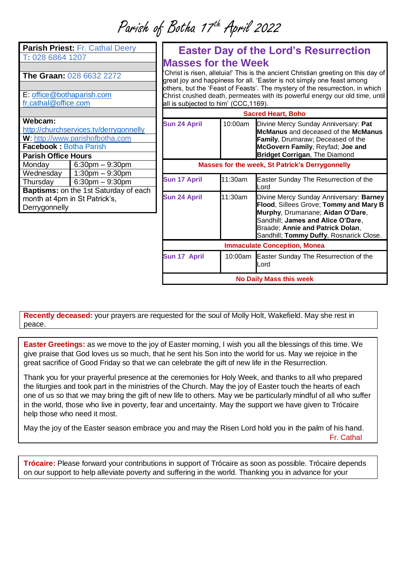Parish of Botha 17 th April 2022

| Parish Priest: Fr. Cathal Deery        |                                    |  |
|----------------------------------------|------------------------------------|--|
| T: 028 6864 1207                       |                                    |  |
|                                        |                                    |  |
| <b>The Graan: 028 6632 2272</b>        |                                    |  |
|                                        |                                    |  |
| E: office@bothaparish.com              |                                    |  |
| fr.cathal@office.com                   |                                    |  |
|                                        |                                    |  |
| Webcam:                                |                                    |  |
| http://churchservices.tv/derrygonnelly |                                    |  |
| W: http://www.parishofbotha.com        |                                    |  |
| Facebook: Botha Parish                 |                                    |  |
| <b>Parish Office Hours</b>             |                                    |  |
| Monday                                 | $6:30$ pm $-9:30$ pm               |  |
| Wednesday                              | $1:30$ pm $-9:30$ pm               |  |
|                                        | Thursday $\bigcup$ 6:30pm - 9:30pm |  |
| Baptisms: on the 1st Saturday of each  |                                    |  |
| month at 4pm in St Patrick's,          |                                    |  |
| Derrygonnelly                          |                                    |  |
|                                        |                                    |  |
|                                        |                                    |  |

generosity.

## **Easter Day of the Lord's Resurrection Masses for the Week**

'Christ is risen, alleluia!' This is the ancient Christian greeting on this day of great joy and happiness for all. 'Easter is not simply one feast among others, but the 'Feast of Feasts'. The mystery of the resurrection, in which Christ crushed death, permeates with its powerful energy our old time, until all is subjected to him' (CCC,1169).

| <b>Sacred Heart, Boho</b>                              |         |                                                                                                                                                                                                                                           |
|--------------------------------------------------------|---------|-------------------------------------------------------------------------------------------------------------------------------------------------------------------------------------------------------------------------------------------|
| <b>Sun 24 April</b>                                    | 10:00am | Divine Mercy Sunday Anniversary: Pat<br>McManus and deceased of the McManus<br><b>Family, Drumaraw; Deceased of the</b><br>McGovern Family, Reyfad; Joe and<br>Bridget Corrigan, The Diamond                                              |
| <b>Masses for the week, St Patrick's Derrygonnelly</b> |         |                                                                                                                                                                                                                                           |
| <b>Sun 17 April</b>                                    | 11:30am | Easter Sunday The Resurrection of the<br>Lord                                                                                                                                                                                             |
| <b>Sun 24 April</b>                                    | 11:30am | Divine Mercy Sunday Anniversary: Barney<br>Flood, Sillees Grove; Tommy and Mary B<br>Murphy, Drumanane; Aidan O'Dare,<br>Sandhill; James and Alice O'Dare,<br>Braade; Annie and Patrick Dolan,<br>Sandhill; Tommy Duffy, Rosnarick Close. |
| <b>Immaculate Conception, Monea</b>                    |         |                                                                                                                                                                                                                                           |
| Sun 17 April                                           |         | 10:00am Easter Sunday The Resurrection of the<br>Lord                                                                                                                                                                                     |
| <b>No Daily Mass this week</b>                         |         |                                                                                                                                                                                                                                           |

**Recently deceased:** your prayers are requested for the soul of Molly Holt, Wakefield. May she rest in peace.

**Easter Greetings:** as we move to the joy of Easter morning, I wish you all the blessings of this time. We give praise that God loves us so much, that he sent his Son into the world for us. May we rejoice in the great sacrifice of Good Friday so that we can celebrate the gift of new life in the Resurrection.

Thank you for your prayerful presence at the ceremonies for Holy Week, and thanks to all who prepared the liturgies and took part in the ministries of the Church. May the joy of Easter touch the hearts of each one of us so that we may bring the gift of new life to others. May we be particularly mindful of all who suffer in the world, those who live in poverty, fear and uncertainty. May the support we have given to Trócaire help those who need it most.

May the joy of the Easter season embrace you and may the Risen Lord hold you in the palm of his hand.

Fr. Cathal

**Trócaire:** Please forward your contributions in support of Trócaire as soon as possible. Trócaire depends on our support to help alleviate poverty and suffering in the world. Thanking you in advance for your